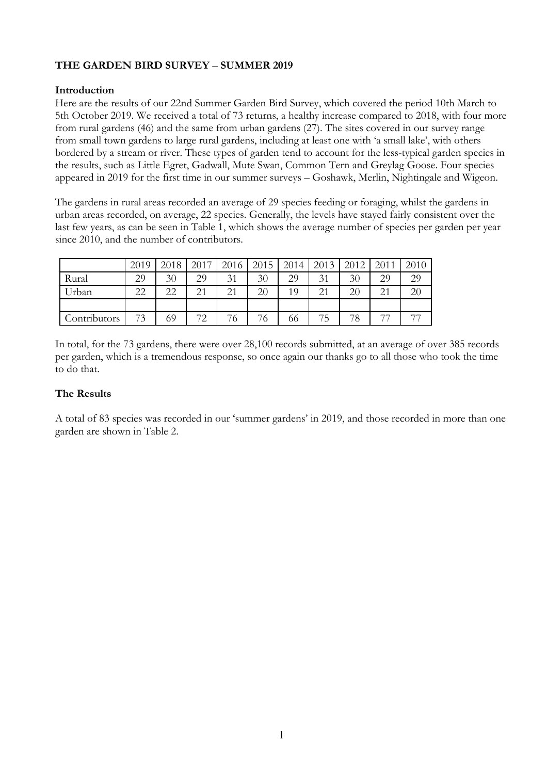# **THE GARDEN BIRD SURVEY** – **SUMMER 2019**

### **Introduction**

Here are the results of our 22nd Summer Garden Bird Survey, which covered the period 10th March to 5th October 2019. We received a total of 73 returns, a healthy increase compared to 2018, with four more from rural gardens (46) and the same from urban gardens (27). The sites covered in our survey range from small town gardens to large rural gardens, including at least one with 'a small lake', with others bordered by a stream or river. These types of garden tend to account for the less-typical garden species in the results, such as Little Egret, Gadwall, Mute Swan, Common Tern and Greylag Goose. Four species appeared in 2019 for the first time in our summer surveys – Goshawk, Merlin, Nightingale and Wigeon.

The gardens in rural areas recorded an average of 29 species feeding or foraging, whilst the gardens in urban areas recorded, on average, 22 species. Generally, the levels have stayed fairly consistent over the last few years, as can be seen in Table 1, which shows the average number of species per garden per year since 2010, and the number of contributors.

|              | 2019 | 2018 | 2017 | 2016 | 2015   | 2014 | 2013            | 2012 | 2011            | 2010 |
|--------------|------|------|------|------|--------|------|-----------------|------|-----------------|------|
| Rural        | 29   | 30   | 29   | 31   | 30     | 29   | 31              | 30   | 29              | 29   |
| "Irban       | 22   | 22   | 21   | 21   | 20     | 19   | $\mathcal{D}$ 1 | 20   | $\mathcal{D}$ 1 | 20   |
|              |      |      |      |      |        |      |                 |      |                 |      |
| Contributors | 73   | 69   | 70   | ⇁    | —<br>О | 00   | --<br>C         | 78   | $\overline{ }$  | $-1$ |

In total, for the 73 gardens, there were over 28,100 records submitted, at an average of over 385 records per garden, which is a tremendous response, so once again our thanks go to all those who took the time to do that.

## **The Results**

A total of 83 species was recorded in our 'summer gardens' in 2019, and those recorded in more than one garden are shown in Table 2.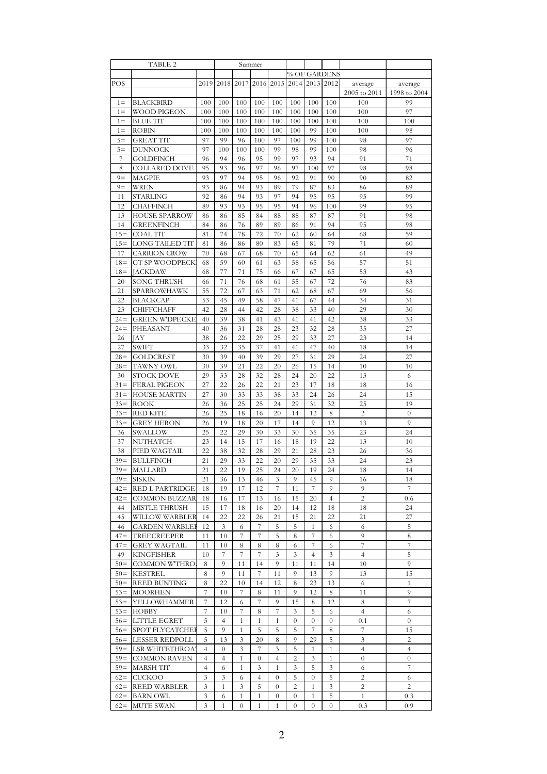|        | TABLE 2               |      |                |                  | Summer           |                |                  |                  |                |                |                |
|--------|-----------------------|------|----------------|------------------|------------------|----------------|------------------|------------------|----------------|----------------|----------------|
|        |                       |      |                |                  |                  |                |                  |                  | % OF GARDENS   |                |                |
| POS    |                       | 2019 | 2018           | 2017             |                  | 2016 2015      | 2014             |                  | 2013 2012      | average        | average        |
|        |                       |      |                |                  |                  |                |                  |                  |                | 2005 to 2011   | 1998 to 2004   |
| $1 =$  | BLACKBIRD             | 100  | 100            | 100              | 100              | 100            | 100              | 100              | 100            | 100            | 99             |
| $1 =$  | WOOD PIGEON           | 100  | 100            | 100              | 100              | 100            | 100              | 100              | 100            | 100            | 97             |
| $1 =$  | <b>BLUE TIT</b>       | 100  | 100            | 100              | 100              | 100            | 100              | 100              | 100            | 100            | 100            |
| $1 =$  | ROBIN                 | 100  | 100            | 100              | 100              | 100            | 100              | 99               | 100            | 100            | 98             |
| $5=$   | <b>GREAT TIT</b>      | 97   | 99             | 96               | 100              | 97             | 100              | 99               | 100            | 98             | 97             |
| $5=$   | <b>DUNNOCK</b>        | 97   | 100            | 100              | 100              | 99             | 98               | 99               | 100            | 98             | 96             |
| 7      | <b>GOLDFINCH</b>      | 96   | 94             | 96               | 95               | 99             | 97               | 93               | 94             | 91             | 71             |
| 8      | COLLARED DOVE         | 95   | 93             | 96               | 97               | 96             | 97               | 100              | 97             | 98             | 98             |
| $9=$   | MAGPIE                | 93   | 97             | 94               | 95               | 96             | 92               | 91               | 90             | 90             | 82             |
| $9=$   | WREN                  | 93   | 86             | 94               | 93               | 89             | 79               | 87               | 83             | 86             | 89             |
| 11     | <b>STARLING</b>       | 92   | 86             | 94               | 93               | 97             | 94               | 95               | 95             | 95             | 99             |
| 12     | CHAFFINCH             | 89   | 93             | 93               | 95               | 95             | 94               | 96               | 100            | 99             | 95             |
| 13     | HOUSE SPARROW         | 86   | 86             | 85               | 84               | 88             | 88               | 87               | 87             | 91             | 98             |
| 14     | GREENFINCH            | 84   |                | 76               | 89               | 89             | 86               | 91               | 94             | 95             | 98             |
| $15=$  | <b>COAL TIT</b>       | 81   | 86<br>74       | 78               | 72               | 70             | 62               | 60               | 64             | 68             | 59             |
| $15=$  | LONG TAILED TIT       | 81   | 86             | 86               | 80               | 83             | 65               | 81               | 79             | 71             | 60             |
|        |                       |      |                |                  |                  |                |                  |                  |                |                |                |
| 17     | CARRION CROW          | 70   | 68             | 67               | 68               | 70             | 65               | 64               | 62             | 61             | 49             |
| $18=$  | <b>GT SP WOODPECK</b> | 68   | 59             | 60               | 61               | 63             | 58               | 65               | 56             | 57             | 51             |
| $18=$  | JACKDAW               | 68   | 77             | 71               | 75               | 66             | 67               | 67               | 65             | 53             | 43             |
| 20     | <b>SONG THRUSH</b>    | 66   | 71             | 76               | 68               | 61             | 55               | 67               | 72             | 76             | 83             |
| 21     | SPARROWHAWK           | 55   | 72             | 67               | 63               | 71             | 62               | 68               | 67             | 69             | 56             |
| 22     | <b>BLACKCAP</b>       | 53   | 45             | 49               | 58               | 47             | 41               | 67               | 44             | 34             | 31             |
| 23     | CHIFFCHAFF            | 42   | 28             | 44               | 42               | 28             | 38               | 33               | 40             | 29             | 30             |
| $24 =$ | <b>GREEN W'DPECKE</b> | 40   | 39             | 38               | 41               | 43             | 41               | 41               | 42             | 38             | 33             |
| $24 =$ | PHEASANT              | 40   | 36             | 31               | 28               | 28             | 23               | 32               | 28             | 35             | 27             |
| 26     | <b>JAY</b>            | 38   | 26             | 22               | 29               | 25             | 29               | 33               | 27             | 23             | 14             |
| 27     | SWIFT                 | 33   | 32             | 35               | 37               | 41             | 41               | 47               | 40             | 18             | 14             |
| $28=$  | GOLDCREST             | 30   | 39             | 40               | 39               | 29             | 27               | 31               | 29             | 24             | 27             |
| $28=$  | TAWNY OWL             | 30   | 39             | 21               | 22               | 20             | 26               | 15               | 14             | 10             | 10             |
| 30     | <b>STOCK DOVE</b>     | 29   | 33             | 28               | 32               | 28             | 24               | 20               | 22             | 13             | 6              |
| $31 =$ | FERAL PIGEON          | 27   | 22             | 26               | 22               | 21             | 23               | 17               | 18             | 18             | 16             |
| $31 =$ | <b>HOUSE MARTIN</b>   | 27   | 30             | 33               | 33               | 38             | 33               | 24               | 26             | 24             | 15             |
| $33 =$ | ROOK                  | 26   | 36             | 25               | 25               | 24             | 29               | 31               | 32             | 25             | 19             |
| $33=$  | RED KITE              | 26   | 25             | 18               | 16               | 20             | 14               | 12               | 8              | 2              | $\theta$       |
| $33=$  | <b>GREY HERON</b>     | 26   | 19             | 18               | 20               | 17             | 14               | 9                | 12             | 13             | 9              |
| 36     | SWALLOW               | 25   | 22             | 29               | 30               | 33             | 30               | 35               | 35             | 23             | 24             |
| 37     | NUTHATCH              | 23   | 14             | 15               | 17               | 16             | 18               | 19               | 22             | 13             | 10             |
| 38     | PIED WAGTAIL          | 22   | 38             | 32               | 28               | 29             | 21               | 28               | 23             | 26             | 36             |
| $39=$  | <b>BULLFINCH</b>      | 21   | 29             | 33               | 22               | 20             | 29               | 35               | 33             | 24             | 23             |
| $39 =$ | <b>MALLARD</b>        | 21   | 22             | 19               | 25               | 24             | 20               | 19               | 24             | 18             | 14             |
| $39=$  | SISKIN                | 21   | 36             | 13               | 46               | 3              | 9                | 45               | 9              | 16             | 18             |
| $42=$  | RED L PARTRIDGE       | 18   | 19             | 17               | 12               | 7              | 11               | 7                | 9              | 9              | 7              |
| $42=$  | <b>COMMON BUZZAR</b>  | 18   | 16             | 17               | 13               | 16             | 15               | 20               | $\overline{4}$ | 2              | 0.6            |
| 44     | MISTLE THRUSH         | 15   | 17             | 18               | 16               | 20             | 14               | 12               | 18             | 18             | 24             |
| 45     | WILLOW WARBLER        | 14   | 22             | 22               | 26               | 21             | 15               | 21               | 22             | 21             | 27             |
| 46     | <b>GARDEN WARBLEI</b> | 12   | 3              | 6                | 7                | 5              | 5                | 1                | 6              | 6              | 5              |
| $47 =$ | TREECREEPER           | 11   | 10             | 7                | 7                | 5              | 8                | 7                | 6              | 9              | 8              |
| $47 =$ | GREY WAGTAIL          | 11   | 10             | 8                | 8                | 8              | 6                | 7                | 6              | 7              | 7              |
| 49     | <b>KINGFISHER</b>     | 10   | 7              | 7                | 7                | 3              | 3                | 4                | 3              | 4              | 5              |
| $50=$  | COMMON W'THRO         | 8    | 9              | 11               | 14               | 9              | 11               | 11               | 14             | 10             | 9              |
| $50=$  | KESTREL               | 8    | 9              | 11               | 7                | 11             | 9                | 13               | 9              | 13             | 15             |
| $50=$  | REED BUNTING          | 8    | 22             | 10               | 14               | 12             | 8                | 23               | 13             | 6              | $\mathbf{1}$   |
| $53=$  | MOORHEN               | 7    | 10             | 7                | 8                | 11             | 9                | 12               | 8              | 11             | 9              |
| $53=$  | YELLOWHAMMER          | 7    | 12             | 6                | 7                | 9              | 15               | 8                | 12             | 8              | 7              |
| $53=$  | НОВВҮ                 | 7    | 10             | 7                | 8                | 7              | 3                | 5                | 6              | 4              | 6              |
| $56=$  | LITTLE EGRET          | 5    | 4              | $\mathbf{1}$     | 1                | 1              | $\theta$         | 0                | $\theta$       | 0.1            | $\overline{0}$ |
| $56=$  | SPOT FLYCATCHEI       | 5    | 9              | $\mathbf{1}$     | 5                | 5              | 5                | 7                | 8              | 7              | 15             |
| $56=$  | LESSER REDPOLL        | 5    | 13             | 3                | 20               | 8              | 9                | 29               | 5              | 3              | $\overline{c}$ |
| $59=$  | LSR WHITETHROA'       | 4    | $\theta$       | 3                | 7                | 3              | 5                | 1                | 1              | 4              | $\overline{4}$ |
| $59=$  | COMMON RAVEN          | 4    | $\overline{4}$ | $\mathbf{1}$     | $\boldsymbol{0}$ | 4              | $\overline{c}$   | 3                | $\mathbf{1}$   | $\overline{0}$ | $\overline{0}$ |
| $59=$  | MARSH TIT             | 4    | 6              | $\mathbf{1}$     | 3                | 1              | 3                | 5                | 3              | 6              | 7              |
| $62 =$ | CUCKOO                | 3    | 3              | 6                | 4                | $\overline{0}$ | 5                | $\overline{0}$   | 5              | 2              | 6              |
| $62 =$ | <b>REED WARBLER</b>   | 3    | $\mathbf{1}$   | 3                | 5                | $\overline{0}$ | $\overline{2}$   | 1                | 3              | $\overline{c}$ | $\overline{2}$ |
| $62 =$ | BARN OWL              | 3    | 6              | $\mathbf{1}$     | $\mathbf{1}$     | $\theta$       | $\boldsymbol{0}$ | $\mathbf{1}$     | 5              | $\mathbf{1}$   | 0.3            |
| $62=$  | MUTE SWAN             | 3    | $\mathbf{1}$   | $\boldsymbol{0}$ | 1                | 1              | $\theta$         | $\boldsymbol{0}$ | $\theta$       | 0.3            | 0.9            |
|        |                       |      |                |                  |                  |                |                  |                  |                |                |                |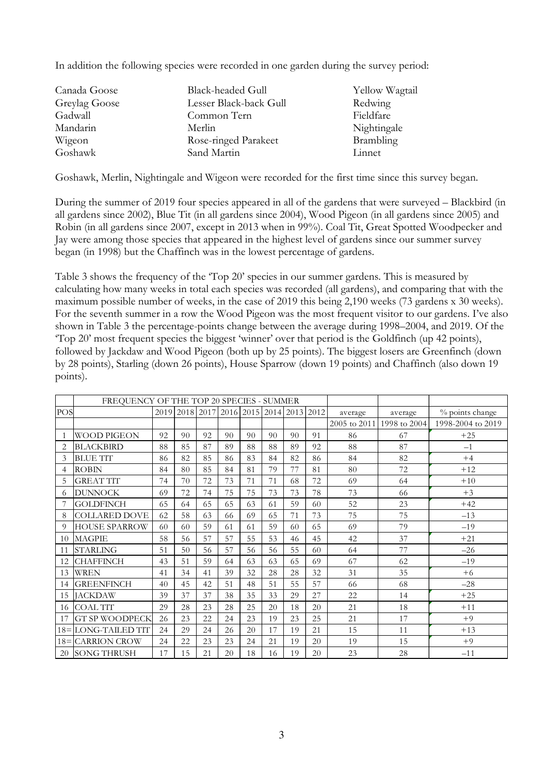In addition the following species were recorded in one garden during the survey period:

| Canada Goose  | <b>Black-headed Gull</b> | Yellow Wagtail |
|---------------|--------------------------|----------------|
| Greylag Goose | Lesser Black-back Gull   | Redwing        |
| Gadwall       | Common Tern              | Fieldfare      |
| Mandarin      | Merlin                   | Nightingale    |
| Wigeon        | Rose-ringed Parakeet     | Brambling      |
| Goshawk       | Sand Martin              | Linnet         |

Goshawk, Merlin, Nightingale and Wigeon were recorded for the first time since this survey began.

During the summer of 2019 four species appeared in all of the gardens that were surveyed – Blackbird (in all gardens since 2002), Blue Tit (in all gardens since 2004), Wood Pigeon (in all gardens since 2005) and Robin (in all gardens since 2007, except in 2013 when in 99%). Coal Tit, Great Spotted Woodpecker and Jay were among those species that appeared in the highest level of gardens since our summer survey began (in 1998) but the Chaffinch was in the lowest percentage of gardens.

Table 3 shows the frequency of the 'Top 20' species in our summer gardens. This is measured by calculating how many weeks in total each species was recorded (all gardens), and comparing that with the maximum possible number of weeks, in the case of 2019 this being 2,190 weeks (73 gardens x 30 weeks). For the seventh summer in a row the Wood Pigeon was the most frequent visitor to our gardens. I've also shown in Table 3 the percentage-points change between the average during 1998–2004, and 2019. Of the 'Top 20' most frequent species the biggest 'winner' over that period is the Goldfinch (up 42 points), followed by Jackdaw and Wood Pigeon (both up by 25 points). The biggest losers are Greenfinch (down by 28 points), Starling (down 26 points), House Sparrow (down 19 points) and Chaffinch (also down 19 points).

|        | FREQUENCY OF THE TOP 20 SPECIES - SUMMER |    |     |                                    |    |    |    |    |      |              |              |                   |
|--------|------------------------------------------|----|-----|------------------------------------|----|----|----|----|------|--------------|--------------|-------------------|
| POS    |                                          |    |     | 2019 2018 2017 2016 2015 2014 2013 |    |    |    |    | 2012 | average      | average      | % points change   |
|        |                                          |    |     |                                    |    |    |    |    |      | 2005 to 2011 | 1998 to 2004 | 1998-2004 to 2019 |
|        | <b>WOOD PIGEON</b>                       | 92 | 90  | 92                                 | 90 | 90 | 90 | 90 | 91   | 86           | 67           | $+25$             |
| 2      | <b>BLACKBIRD</b>                         | 88 | 85  | 87                                 | 89 | 88 | 88 | 89 | 92   | 88           | 87           | $-1$              |
| 3      | <b>BLUE TIT</b>                          | 86 | 82  | 85                                 | 86 | 83 | 84 | 82 | 86   | 84           | 82           | $+4$              |
| 4      | <b>ROBIN</b>                             | 84 | 80  | 85                                 | 84 | 81 | 79 | 77 | 81   | 80           | 72           | $+12$             |
| 5      | <b>GREAT TIT</b>                         | 74 | 70  | 72                                 | 73 | 71 | 71 | 68 | 72   | 69           | 64           | $+10$             |
| 6      | <b>DUNNOCK</b>                           | 69 | 72  | 74                                 | 75 | 75 | 73 | 73 | 78   | 73           | 66           | $+3$              |
|        | <b>GOLDFINCH</b>                         | 65 | 64  | 65                                 | 65 | 63 | 61 | 59 | 60   | 52           | 23           | $+42$             |
| 8      | <b>COLLARED DOVE</b>                     | 62 | 58  | 63                                 | 66 | 69 | 65 | 71 | 73   | 75           | 75           | $-13$             |
| 9      | <b>HOUSE SPARROW</b>                     | 60 | 60  | 59                                 | 61 | 61 | 59 | 60 | 65   | 69           | 79           | $-19$             |
| 10     | <b>MAGPIE</b>                            | 58 | 56  | 57                                 | 57 | 55 | 53 | 46 | 45   | 42           | 37           | $+21$             |
| 11     | <b>STARLING</b>                          | 51 | 50  | 56                                 | 57 | 56 | 56 | 55 | 60   | 64           | 77           | $-26$             |
| 12     | <b>CHAFFINCH</b>                         | 43 | 51  | 59                                 | 64 | 63 | 63 | 65 | 69   | 67           | 62           | $-19$             |
| 13     | <b>WREN</b>                              | 41 | 34  | 41                                 | 39 | 32 | 28 | 28 | 32   | 31           | 35           | $+6$              |
| 14     | <b>GREENFINCH</b>                        | 40 | 45  | 42                                 | 51 | 48 | 51 | 55 | 57   | 66           | 68           | $-28$             |
| 15     | <b>JACKDAW</b>                           | 39 | 37  | 37                                 | 38 | 35 | 33 | 29 | 27   | 22           | 14           | $+25$             |
| 16     | <b>COAL TIT</b>                          | 29 | 28  | 23                                 | 28 | 25 | 20 | 18 | 20   | 21           | 18           | $+11$             |
| 17     | <b>GT SP WOODPECK</b>                    | 26 | 23  | 22                                 | 24 | 23 | 19 | 23 | 25   | 21           | 17           | $+9$              |
| $18 =$ | LONG-TAILED TIT                          | 24 | 29  | 24                                 | 26 | 20 | 17 | 19 | 21   | 15           | 11           | $+13$             |
| $18=$  | <b>CARRION CROW</b>                      | 24 | 22  | 23                                 | 23 | 24 | 21 | 19 | 20   | 19           | 15           | $+9$              |
| 20     | <b>SONG THRUSH</b>                       | 17 | 1.5 | 21                                 | 20 | 18 | 16 | 19 | 20   | 23           | 28           | $-11$             |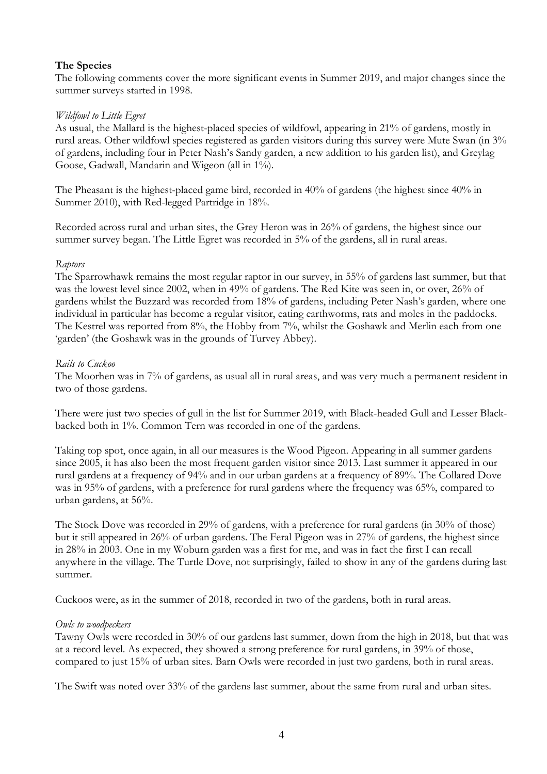### **The Species**

The following comments cover the more significant events in Summer 2019, and major changes since the summer surveys started in 1998.

### *Wildfowl to Little Egret*

As usual, the Mallard is the highest-placed species of wildfowl, appearing in 21% of gardens, mostly in rural areas. Other wildfowl species registered as garden visitors during this survey were Mute Swan (in 3% of gardens, including four in Peter Nash's Sandy garden, a new addition to his garden list), and Greylag Goose, Gadwall, Mandarin and Wigeon (all in 1%).

The Pheasant is the highest-placed game bird, recorded in 40% of gardens (the highest since 40% in Summer 2010), with Red-legged Partridge in 18%.

Recorded across rural and urban sites, the Grey Heron was in 26% of gardens, the highest since our summer survey began. The Little Egret was recorded in 5% of the gardens, all in rural areas.

### *Raptors*

The Sparrowhawk remains the most regular raptor in our survey, in 55% of gardens last summer, but that was the lowest level since 2002, when in 49% of gardens. The Red Kite was seen in, or over, 26% of gardens whilst the Buzzard was recorded from 18% of gardens, including Peter Nash's garden, where one individual in particular has become a regular visitor, eating earthworms, rats and moles in the paddocks. The Kestrel was reported from 8%, the Hobby from 7%, whilst the Goshawk and Merlin each from one 'garden' (the Goshawk was in the grounds of Turvey Abbey).

### *Rails to Cuckoo*

The Moorhen was in 7% of gardens, as usual all in rural areas, and was very much a permanent resident in two of those gardens.

There were just two species of gull in the list for Summer 2019, with Black-headed Gull and Lesser Blackbacked both in 1%. Common Tern was recorded in one of the gardens.

Taking top spot, once again, in all our measures is the Wood Pigeon. Appearing in all summer gardens since 2005, it has also been the most frequent garden visitor since 2013. Last summer it appeared in our rural gardens at a frequency of 94% and in our urban gardens at a frequency of 89%. The Collared Dove was in 95% of gardens, with a preference for rural gardens where the frequency was 65%, compared to urban gardens, at 56%.

The Stock Dove was recorded in 29% of gardens, with a preference for rural gardens (in 30% of those) but it still appeared in 26% of urban gardens. The Feral Pigeon was in 27% of gardens, the highest since in 28% in 2003. One in my Woburn garden was a first for me, and was in fact the first I can recall anywhere in the village. The Turtle Dove, not surprisingly, failed to show in any of the gardens during last summer.

Cuckoos were, as in the summer of 2018, recorded in two of the gardens, both in rural areas.

### *Owls to woodpeckers*

Tawny Owls were recorded in 30% of our gardens last summer, down from the high in 2018, but that was at a record level. As expected, they showed a strong preference for rural gardens, in 39% of those, compared to just 15% of urban sites. Barn Owls were recorded in just two gardens, both in rural areas.

The Swift was noted over 33% of the gardens last summer, about the same from rural and urban sites.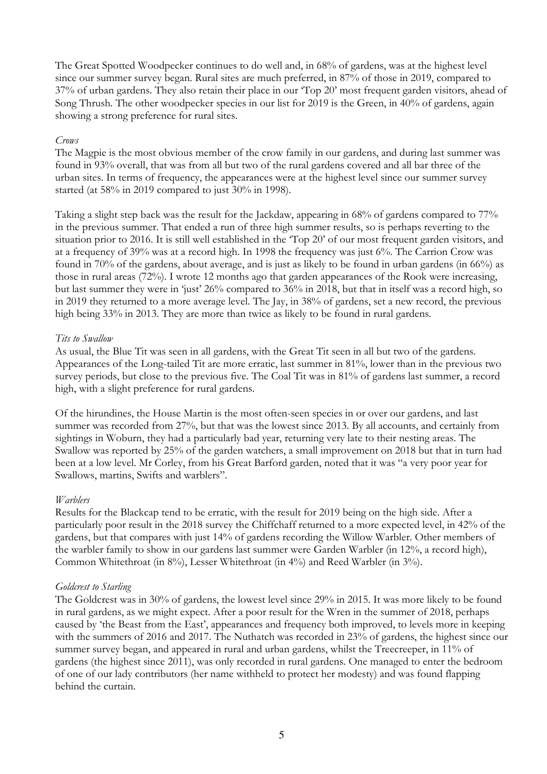The Great Spotted Woodpecker continues to do well and, in 68% of gardens, was at the highest level since our summer survey began. Rural sites are much preferred, in 87% of those in 2019, compared to 37% of urban gardens. They also retain their place in our 'Top 20' most frequent garden visitors, ahead of Song Thrush. The other woodpecker species in our list for 2019 is the Green, in 40% of gardens, again showing a strong preference for rural sites.

#### *Crows*

The Magpie is the most obvious member of the crow family in our gardens, and during last summer was found in 93% overall, that was from all but two of the rural gardens covered and all bar three of the urban sites. In terms of frequency, the appearances were at the highest level since our summer survey started (at 58% in 2019 compared to just 30% in 1998).

Taking a slight step back was the result for the Jackdaw, appearing in 68% of gardens compared to 77% in the previous summer. That ended a run of three high summer results, so is perhaps reverting to the situation prior to 2016. It is still well established in the 'Top 20' of our most frequent garden visitors, and at a frequency of 39% was at a record high. In 1998 the frequency was just 6%. The Carrion Crow was found in 70% of the gardens, about average, and is just as likely to be found in urban gardens (in 66%) as those in rural areas (72%). I wrote 12 months ago that garden appearances of the Rook were increasing, but last summer they were in 'just' 26% compared to 36% in 2018, but that in itself was a record high, so in 2019 they returned to a more average level. The Jay, in 38% of gardens, set a new record, the previous high being 33% in 2013. They are more than twice as likely to be found in rural gardens.

### *Tits to Swallow*

As usual, the Blue Tit was seen in all gardens, with the Great Tit seen in all but two of the gardens. Appearances of the Long-tailed Tit are more erratic, last summer in 81%, lower than in the previous two survey periods, but close to the previous five. The Coal Tit was in 81% of gardens last summer, a record high, with a slight preference for rural gardens.

Of the hirundines, the House Martin is the most often-seen species in or over our gardens, and last summer was recorded from 27%, but that was the lowest since 2013. By all accounts, and certainly from sightings in Woburn, they had a particularly bad year, returning very late to their nesting areas. The Swallow was reported by 25% of the garden watchers, a small improvement on 2018 but that in turn had been at a low level. Mr Corley, from his Great Barford garden, noted that it was "a very poor year for Swallows, martins, Swifts and warblers".

### *Warblers*

Results for the Blackcap tend to be erratic, with the result for 2019 being on the high side. After a particularly poor result in the 2018 survey the Chiffchaff returned to a more expected level, in 42% of the gardens, but that compares with just 14% of gardens recording the Willow Warbler. Other members of the warbler family to show in our gardens last summer were Garden Warbler (in 12%, a record high), Common Whitethroat (in 8%), Lesser Whitethroat (in 4%) and Reed Warbler (in 3%).

### *Goldcrest to Starling*

The Goldcrest was in 30% of gardens, the lowest level since 29% in 2015. It was more likely to be found in rural gardens, as we might expect. After a poor result for the Wren in the summer of 2018, perhaps caused by 'the Beast from the East', appearances and frequency both improved, to levels more in keeping with the summers of 2016 and 2017. The Nuthatch was recorded in 23% of gardens, the highest since our summer survey began, and appeared in rural and urban gardens, whilst the Treecreeper, in 11% of gardens (the highest since 2011), was only recorded in rural gardens. One managed to enter the bedroom of one of our lady contributors (her name withheld to protect her modesty) and was found flapping behind the curtain.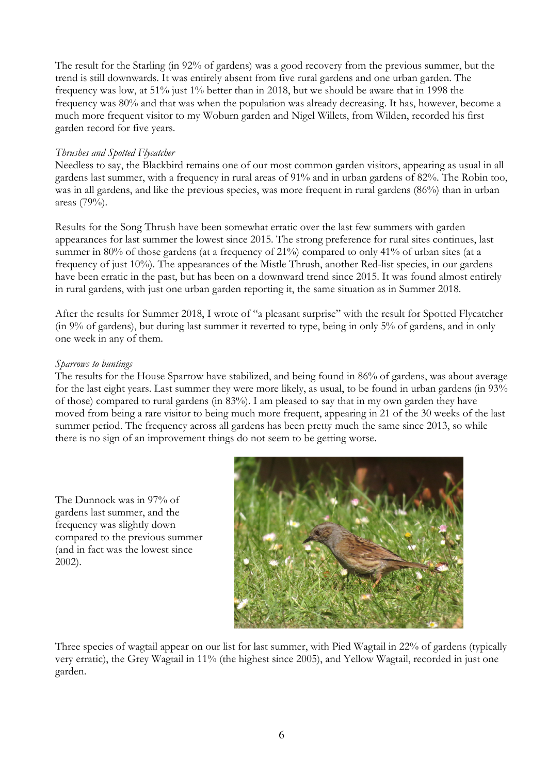The result for the Starling (in 92% of gardens) was a good recovery from the previous summer, but the trend is still downwards. It was entirely absent from five rural gardens and one urban garden. The frequency was low, at 51% just 1% better than in 2018, but we should be aware that in 1998 the frequency was 80% and that was when the population was already decreasing. It has, however, become a much more frequent visitor to my Woburn garden and Nigel Willets, from Wilden, recorded his first garden record for five years.

### *Thrushes and Spotted Flycatcher*

Needless to say, the Blackbird remains one of our most common garden visitors, appearing as usual in all gardens last summer, with a frequency in rural areas of 91% and in urban gardens of 82%. The Robin too, was in all gardens, and like the previous species, was more frequent in rural gardens (86%) than in urban areas (79%).

Results for the Song Thrush have been somewhat erratic over the last few summers with garden appearances for last summer the lowest since 2015. The strong preference for rural sites continues, last summer in 80% of those gardens (at a frequency of 21%) compared to only 41% of urban sites (at a frequency of just 10%). The appearances of the Mistle Thrush, another Red-list species, in our gardens have been erratic in the past, but has been on a downward trend since 2015. It was found almost entirely in rural gardens, with just one urban garden reporting it, the same situation as in Summer 2018.

After the results for Summer 2018, I wrote of "a pleasant surprise" with the result for Spotted Flycatcher (in 9% of gardens), but during last summer it reverted to type, being in only 5% of gardens, and in only one week in any of them.

#### *Sparrows to buntings*

The results for the House Sparrow have stabilized, and being found in 86% of gardens, was about average for the last eight years. Last summer they were more likely, as usual, to be found in urban gardens (in 93% of those) compared to rural gardens (in 83%). I am pleased to say that in my own garden they have moved from being a rare visitor to being much more frequent, appearing in 21 of the 30 weeks of the last summer period. The frequency across all gardens has been pretty much the same since 2013, so while there is no sign of an improvement things do not seem to be getting worse.

The Dunnock was in 97% of gardens last summer, and the frequency was slightly down compared to the previous summer (and in fact was the lowest since 2002).



Three species of wagtail appear on our list for last summer, with Pied Wagtail in 22% of gardens (typically very erratic), the Grey Wagtail in 11% (the highest since 2005), and Yellow Wagtail, recorded in just one garden.